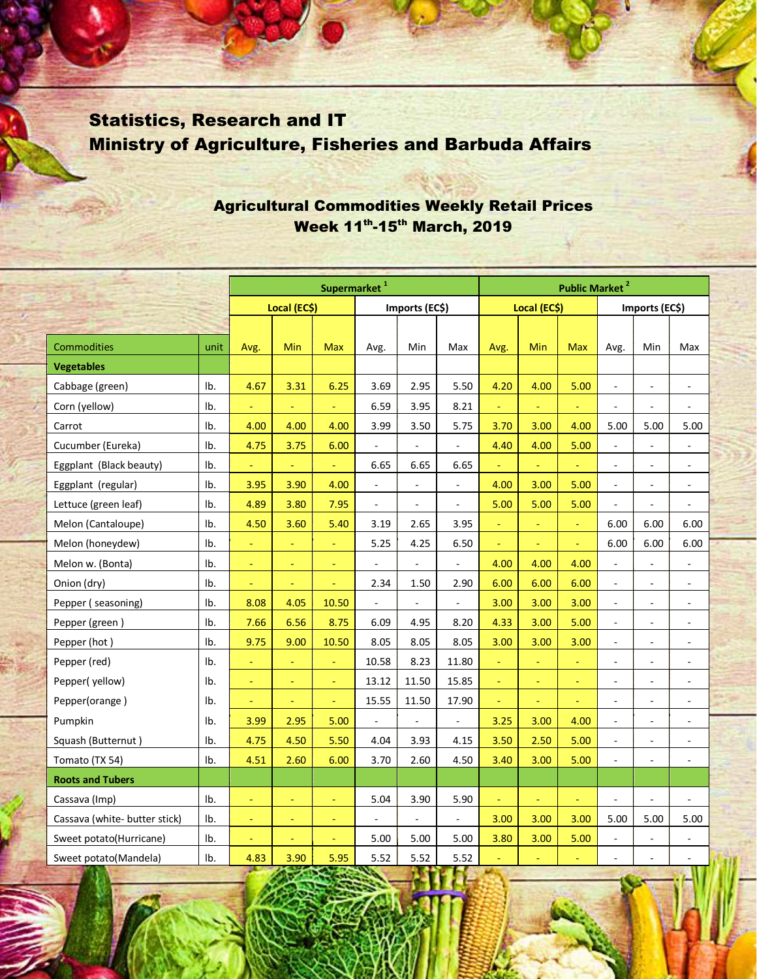## Statistics, Research and IT Ministry of Agriculture, Fisheries and Barbuda Affairs

## Agricultural Commodities Weekly Retail Prices Week 11th-15th March, 2019

|                               |      | Supermarket <sup>1</sup> |                |                |                          |                          | <b>Public Market<sup>2</sup></b> |              |          |                |                          |                          |                          |  |
|-------------------------------|------|--------------------------|----------------|----------------|--------------------------|--------------------------|----------------------------------|--------------|----------|----------------|--------------------------|--------------------------|--------------------------|--|
|                               |      | Local (EC\$)             |                |                | Imports (EC\$)           |                          |                                  | Local (EC\$) |          |                | Imports (EC\$)           |                          |                          |  |
|                               |      |                          |                |                |                          |                          |                                  |              |          |                |                          |                          |                          |  |
| Commodities                   | unit | Avg.                     | Min            | <b>Max</b>     | Avg.                     | Min                      | Max                              | Avg.         | Min      | <b>Max</b>     | Avg.                     | Min                      | Max                      |  |
| <b>Vegetables</b>             |      |                          |                |                |                          |                          |                                  |              |          |                |                          |                          |                          |  |
| Cabbage (green)               | Ib.  | 4.67                     | 3.31           | 6.25           | 3.69                     | 2.95                     | 5.50                             | 4.20         | 4.00     | 5.00           | $\overline{\phantom{a}}$ | $\overline{a}$           | ä,                       |  |
| Corn (yellow)                 | Ib.  | Ξ                        | $\omega$       | ä,             | 6.59                     | 3.95                     | 8.21                             | Ξ            | Ξ        | ä,             | $\blacksquare$           | $\blacksquare$           | $\overline{\phantom{a}}$ |  |
| Carrot                        | Ib.  | 4.00                     | 4.00           | 4.00           | 3.99                     | 3.50                     | 5.75                             | 3.70         | 3.00     | 4.00           | 5.00                     | 5.00                     | 5.00                     |  |
| Cucumber (Eureka)             | Ib.  | 4.75                     | 3.75           | 6.00           | $\overline{a}$           |                          | ÷.                               | 4.40         | 4.00     | 5.00           | ä,                       | $\overline{\phantom{a}}$ | $\sim$                   |  |
| Eggplant (Black beauty)       | Ib.  | $\equiv$                 | $\equiv$       | $\omega$       | 6.65                     | 6.65                     | 6.65                             | $\equiv$     | Ξ        | $\blacksquare$ | $\overline{\phantom{a}}$ | $\overline{\phantom{a}}$ | $\overline{\phantom{a}}$ |  |
| Eggplant (regular)            | Ib.  | 3.95                     | 3.90           | 4.00           | $\overline{\phantom{a}}$ | ÷,                       | ä,                               | 4.00         | 3.00     | 5.00           | $\blacksquare$           | $\overline{\phantom{a}}$ | $\sim$                   |  |
| Lettuce (green leaf)          | Ib.  | 4.89                     | 3.80           | 7.95           | $\blacksquare$           |                          | ÷,                               | 5.00         | 5.00     | 5.00           | $\blacksquare$           | $\overline{\phantom{a}}$ | $\overline{\phantom{a}}$ |  |
| Melon (Cantaloupe)            | Ib.  | 4.50                     | 3.60           | 5.40           | 3.19                     | 2.65                     | 3.95                             | ÷            | Ξ        | ä,             | 6.00                     | 6.00                     | 6.00                     |  |
| Melon (honeydew)              | Ib.  | Ξ                        | $\Box$         | $\omega$       | 5.25                     | 4.25                     | 6.50                             | ÷            | L,       | ä,             | 6.00                     | 6.00                     | 6.00                     |  |
| Melon w. (Bonta)              | Ib.  | ÷                        | $\equiv$       | Ξ              | $\blacksquare$           | $\Box$                   | $\blacksquare$                   | 4.00         | 4.00     | 4.00           | $\overline{\phantom{a}}$ | $\overline{\phantom{a}}$ | $\overline{\phantom{a}}$ |  |
| Onion (dry)                   | Ib.  | Ξ                        | $\equiv$       | Ξ              | 2.34                     | 1.50                     | 2.90                             | 6.00         | 6.00     | 6.00           | $\blacksquare$           | $\overline{\phantom{a}}$ | ÷,                       |  |
| Pepper (seasoning)            | Ib.  | 8.08                     | 4.05           | 10.50          | $\blacksquare$           | $\overline{\phantom{a}}$ | $\overline{\phantom{a}}$         | 3.00         | 3.00     | 3.00           | $\overline{\phantom{a}}$ | $\overline{\phantom{a}}$ | $\overline{\phantom{a}}$ |  |
| Pepper (green)                | Ib.  | 7.66                     | 6.56           | 8.75           | 6.09                     | 4.95                     | 8.20                             | 4.33         | 3.00     | 5.00           | $\blacksquare$           | $\overline{\phantom{a}}$ | $\blacksquare$           |  |
| Pepper (hot)                  | Ib.  | 9.75                     | 9.00           | 10.50          | 8.05                     | 8.05                     | 8.05                             | 3.00         | 3.00     | 3.00           | $\blacksquare$           | $\overline{\phantom{a}}$ | $\overline{\phantom{a}}$ |  |
| Pepper (red)                  | Ib.  | $\equiv$                 | $\equiv$       | $\blacksquare$ | 10.58                    | 8.23                     | 11.80                            | $\equiv$     | $\equiv$ | $\blacksquare$ | $\overline{\phantom{a}}$ | $\overline{\phantom{a}}$ | $\overline{\phantom{a}}$ |  |
| Pepper(yellow)                | Ib.  | $\equiv$                 | $\equiv$       | $\Box$         | 13.12                    | 11.50                    | 15.85                            | $\equiv$     | $\omega$ | ÷              | $\overline{\phantom{a}}$ | $\overline{\phantom{a}}$ | $\overline{\phantom{a}}$ |  |
| Pepper(orange)                | Ib.  | $\equiv$                 | $\equiv$       | $\Box$         | 15.55                    | 11.50                    | 17.90                            | $\equiv$     | Ξ        | ÷              | $\overline{\phantom{a}}$ | $\overline{\phantom{a}}$ | $\overline{\phantom{a}}$ |  |
| Pumpkin                       | Ib.  | 3.99                     | 2.95           | 5.00           | $\overline{a}$           | $\omega$                 | $\bar{\phantom{a}}$              | 3.25         | 3.00     | 4.00           | $\blacksquare$           | $\overline{\phantom{a}}$ | $\blacksquare$           |  |
| Squash (Butternut)            | Ib.  | 4.75                     | 4.50           | 5.50           | 4.04                     | 3.93                     | 4.15                             | 3.50         | 2.50     | 5.00           | $\blacksquare$           | $\overline{\phantom{a}}$ | $\blacksquare$           |  |
| Tomato (TX 54)                | Ib.  | 4.51                     | 2.60           | 6.00           | 3.70                     | 2.60                     | 4.50                             | 3.40         | 3.00     | 5.00           | $\blacksquare$           | $\overline{\phantom{a}}$ | $\overline{\phantom{a}}$ |  |
| <b>Roots and Tubers</b>       |      |                          |                |                |                          |                          |                                  |              |          |                |                          |                          |                          |  |
| Cassava (Imp)                 | Ib.  | $\equiv$                 | $\equiv$       | $\omega$       | 5.04                     | 3.90                     | 5.90                             | $\equiv$     | $\omega$ | ÷              | $\overline{\phantom{a}}$ | $\overline{\phantom{a}}$ | $\overline{\phantom{a}}$ |  |
| Cassava (white- butter stick) | Ib.  | $\equiv$                 | $\equiv$       | $\equiv$       | $\overline{\phantom{a}}$ | $\sim$                   | $\overline{\phantom{a}}$         | 3.00         | 3.00     | 3.00           | 5.00                     | 5.00                     | 5.00                     |  |
| Sweet potato(Hurricane)       | Ib.  | $\equiv$                 | $\blacksquare$ | $\equiv$       | 5.00                     | 5.00                     | 5.00                             | 3.80         | 3.00     | 5.00           | $\blacksquare$           | $\overline{\phantom{a}}$ | $\overline{\phantom{a}}$ |  |
| Sweet potato(Mandela)         | Ib.  | 4.83                     | 3.90           | 5.95           | 5.52                     | 5.52                     | 5.52                             |              | u        |                | $\overline{a}$           | $\overline{a}$           | $\overline{\phantom{a}}$ |  |